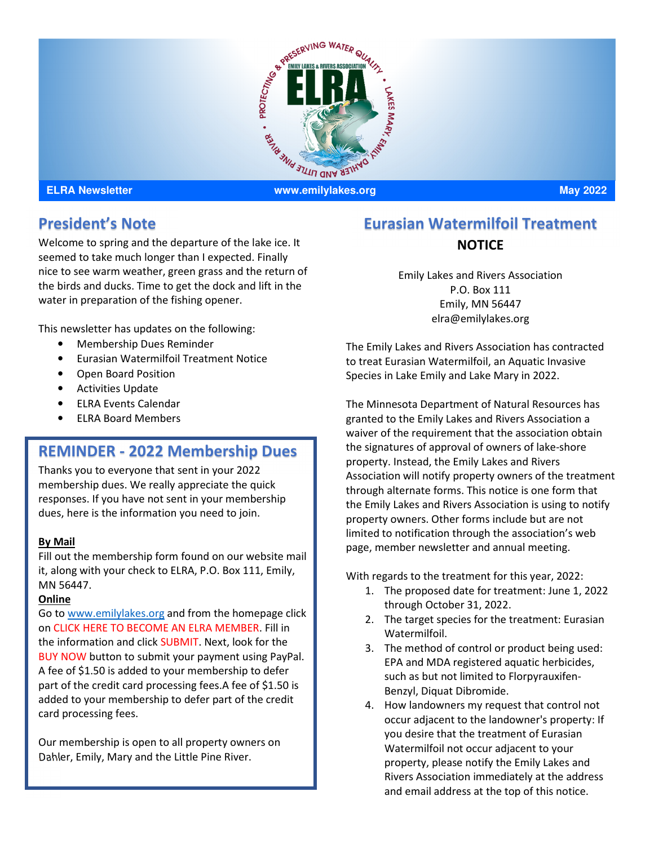

# **President's Note**

Welcome to spring and the departure of the lake ice. It seemed to take much longer than I expected. Finally nice to see warm weather, green grass and the return of the birds and ducks. Time to get the dock and lift in the water in preparation of the fishing opener.

This newsletter has updates on the following:

- Membership Dues Reminder
- Eurasian Watermilfoil Treatment Notice
- Open Board Position
- Activities Update
- ELRA Events Calendar
- ELRA Board Members

### **REMINDER - 2022 Membership Dues**

Thanks you to everyone that sent in your 2022 membership dues. We really appreciate the quick responses. If you have not sent in your membership dues, here is the information you need to join.

### **By Mail**

Fill out the membership form found on our website mail it, along with your check to ELRA, P.O. Box 111, Emily, MN 56447.

### **Online**

Go to www.emilylakes.org and from the homepage click on CLICK HERE TO BECOME AN ELRA MEMBER. Fill in the information and click SUBMIT. Next, look for the BUY NOW button to submit your payment using PayPal. A fee of \$1.50 is added to your membership to defer part of the credit card processing fees.A fee of \$1.50 is added to your membership to defer part of the credit card processing fees.

Our membership is open to all property owners on Dahler, Emily, Mary and the Little Pine River.

# **Eurasian Watermilfoil Treatment NOTICE**

Emily Lakes and Rivers Association P.O. Box 111 Emily, MN 56447 elra@emilylakes.org

The Emily Lakes and Rivers Association has contracted to treat Eurasian Watermilfoil, an Aquatic Invasive Species in Lake Emily and Lake Mary in 2022.

The Minnesota Department of Natural Resources has granted to the Emily Lakes and Rivers Association a waiver of the requirement that the association obtain the signatures of approval of owners of lake-shore property. Instead, the Emily Lakes and Rivers Association will notify property owners of the treatment through alternate forms. This notice is one form that the Emily Lakes and Rivers Association is using to notify property owners. Other forms include but are not limited to notification through the association's web page, member newsletter and annual meeting.

With regards to the treatment for this year, 2022:

- 1. The proposed date for treatment: June 1, 2022 through October 31, 2022.
- 2. The target species for the treatment: Eurasian Watermilfoil.
- 3. The method of control or product being used: EPA and MDA registered aquatic herbicides, such as but not limited to Florpyrauxifen-Benzyl, Diquat Dibromide.
- 4. How landowners my request that control not occur adjacent to the landowner's property: If you desire that the treatment of Eurasian Watermilfoil not occur adjacent to your property, please notify the Emily Lakes and Rivers Association immediately at the address and email address at the top of this notice.